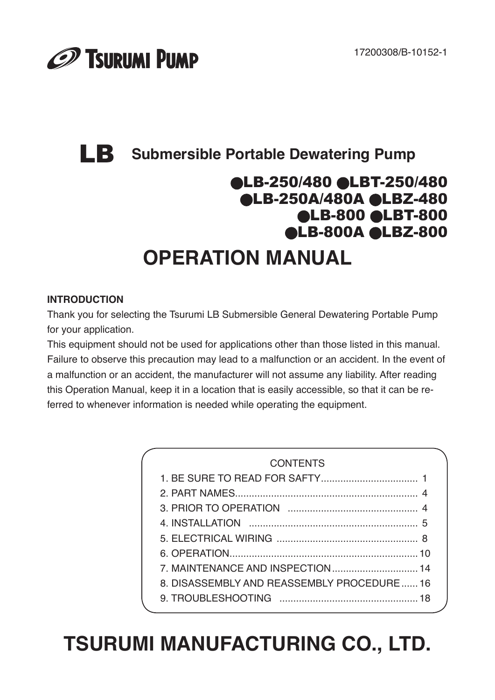

# LB Submersible Portable Dewatering Pump

# **ALB-250/480 ALBT-250/480 OLB-250A/480A OLBZ-480 OLB-800 OLBT-800 OLB-800A OLBZ-800**

# **OPERATION MANUAL**

### **INTRODUCTION**

Thank you for selecting the Tsurumi LB Submersible General Dewatering Portable Pump for your application.

This equipment should not be used for applications other than those listed in this manual. Failure to observe this precaution may lead to a malfunction or an accident. In the event of a malfunction or an accident, the manufacturer will not assume any liability. After reading this Operation Manual, keep it in a location that is easily accessible, so that it can be referred to whenever information is needed while operating the equipment.

## **CONTENTS**

| 8. DISASSEMBLY AND REASSEMBLY PROCEDURE  16 |
|---------------------------------------------|
|                                             |

# **TSURUMI MANUFACTURING CO., LTD.**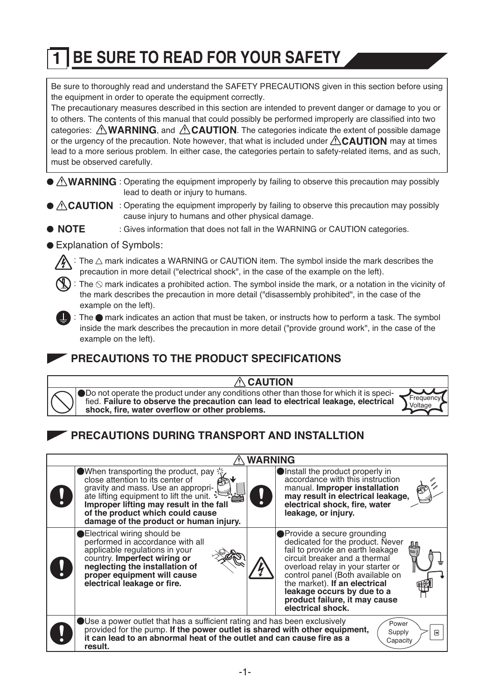# **BE SURE TO READ FOR YOUR SAFETY**

Be sure to thoroughly read and understand the SAFETY PRECAUTIONS given in this section before using the equipment in order to operate the equipment correctly.

The precautionary measures described in this section are intended to prevent danger or damage to you or to others. The contents of this manual that could possibly be performed improperly are classified into two categories: **WARNING**, and **CAUTION**. The categories indicate the extent of possible damage or the urgency of the precaution. Note however, that what is included under **CAUTION** may at times lead to a more serious problem. In either case, the categories pertain to safety-related items, and as such, must be observed carefully.

- WARNING : Operating the equipment improperly by failing to observe this precaution may possibly lead to death or injury to humans.
- **CAUTION** : Operating the equipment improperly by failing to observe this precaution may possibly cause injury to humans and other physical damage.
	- : Gives information that does not fall in the WARNING or CAUTION categories.
- Explanation of Symbols:

**NOTE**

: The  $\triangle$  mark indicates a WARNING or CAUTION item. The symbol inside the mark describes the precaution in more detail ("electrical shock", in the case of the example on the left).



: The **mark indicates an action that must be taken, or instructs how to perform a task. The symbol**  inside the mark describes the precaution in more detail ("provide ground work", in the case of the example on the left).

# **7 PRECAUTIONS TO THE PRODUCT SPECIFICATIONS**



**Frequency** Voltage

Do not operate the product under any conditions other than those for which it is specified. **Failure to observe the precaution can lead to electrical leakage, electrical shock, fire, water overflow or other problems.** 

# **PRECAUTIONS DURING TRANSPORT AND INSTALLTION**

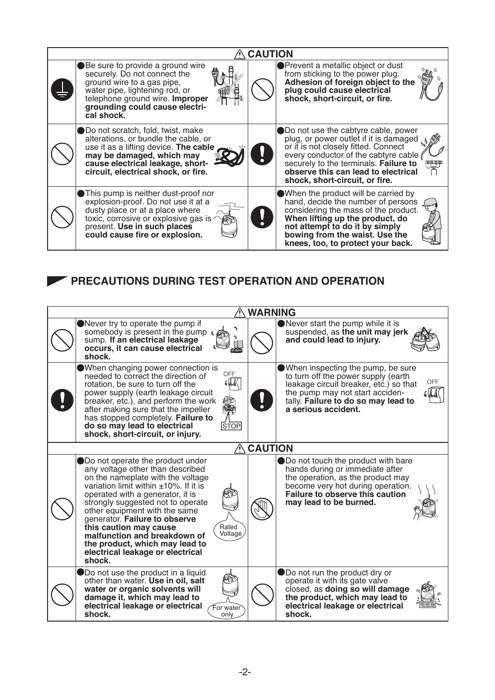|                                                                                                                                                                                                                            | <b>CAUTION</b> |                                                                                                                                                                                                                                                                                 |
|----------------------------------------------------------------------------------------------------------------------------------------------------------------------------------------------------------------------------|----------------|---------------------------------------------------------------------------------------------------------------------------------------------------------------------------------------------------------------------------------------------------------------------------------|
| Be sure to provide a ground wire<br>securely. Do not connect the<br>ground wire to a gas pipe,<br>water pipe, lightening rod, or<br>telephone ground wire. Improper<br>grounding could cause electri-<br>cal shock.        |                | Prevent a metallic object or dust<br>from sticking to the power plug.<br>Adhesion of foreign object to the<br>plug could cause electrical<br>shock, short-circuit, or fire.                                                                                                     |
| Do not scratch, fold, twist, make<br>alterations, or bundle the cable, or<br>use it as a lifting device. The cable<br>may be damaged, which may<br>cause electrical leakage, short-<br>circuit, electrical shock, or fire. |                | Do not use the cabtyre cable, power<br>plug, or power outlet if it is damaged<br>or it is not closely fitted. Connect<br>every conductor of the cabtyre cable<br>securely to the terminals. Failure to<br>observe this can lead to electrical<br>shock, short-circuit, or fire. |
| This pump is neither dust-proof nor<br>explosion-proof. Do not use it at a<br>dusty place or at a place where<br>toxic, corrosive or explosive gas is<br>present. Use in such places<br>could cause fire or explosion.     |                | When the product will be carried by<br>hand, decide the number of persons<br>considering the mass of the product.<br>When lifting up the product, do<br>not attempt to do it by simply<br>bowing from the waist. Use the<br>knees, too, to protect your back.                   |

# **35 PRECAUTIONS DURING TEST OPERATION AND OPERATION**

| <b>WARNING</b>                                                                                                                                                                                                                                                                                                                                                                                                                                                     |  |                                                                                                                                                                                                                              |  |  |  |
|--------------------------------------------------------------------------------------------------------------------------------------------------------------------------------------------------------------------------------------------------------------------------------------------------------------------------------------------------------------------------------------------------------------------------------------------------------------------|--|------------------------------------------------------------------------------------------------------------------------------------------------------------------------------------------------------------------------------|--|--|--|
| Never try to operate the pump if<br>somebody is present in the pump<br>sump. If an electrical leakage<br>occurs, it can cause electrical<br>shock.                                                                                                                                                                                                                                                                                                                 |  | ● Never start the pump while it is<br>suspended, as the unit may jerk<br>and could lead to injury.                                                                                                                           |  |  |  |
| When changing power connection is<br>OFF<br>needed to correct the direction of<br>rotation, be sure to turn off the<br>power supply (earth leakage circuit<br>breaker, etc.), and perform the work<br>es<br>Se<br>after making sure that the impeller<br>has stopped completely. Failure to<br>do so may lead to electrical<br><b>STOP</b><br>shock, short-circuit, or injury.                                                                                     |  | ● When inspecting the pump, be sure<br>to turn off the power supply (earth<br>OFF<br>leakage circuit breaker, etc.) so that<br>the pump may not start acciden-<br>tally. Failure to do so may lead to<br>a serious accident. |  |  |  |
| $\wedge$ CAUTION                                                                                                                                                                                                                                                                                                                                                                                                                                                   |  |                                                                                                                                                                                                                              |  |  |  |
| Do not operate the product under<br>any voltage other than described<br>on the nameplate with the voltage<br>variation limit within $\pm 10\%$ . If it is<br>operated with a generator, it is<br>strongly suggested not to operate<br>other equipment with the same<br>generator. Failure to observe<br>Rated<br>this caution may cause<br>Voltage<br>malfunction and breakdown of<br>the product, which may lead to<br>electrical leakage or electrical<br>shock. |  | ● Do not touch the product with bare<br>hands during or immediate after<br>the operation, as the product may<br>become very hot during operation.<br><b>Failure to observe this caution</b><br>may lead to be burned.        |  |  |  |
| Do not use the product in a liquid<br>other than water. Use in oil, salt<br>water or organic solvents will<br>damage it, which may lead to<br>electrical leakage or electrical<br>For water<br>shock.<br>only                                                                                                                                                                                                                                                      |  | ● Do not run the product dry or<br>operate it with its gate valve<br>closed, as doing so will damage<br>the product, which may lead to<br>electrical leakage or electrical<br>shock.                                         |  |  |  |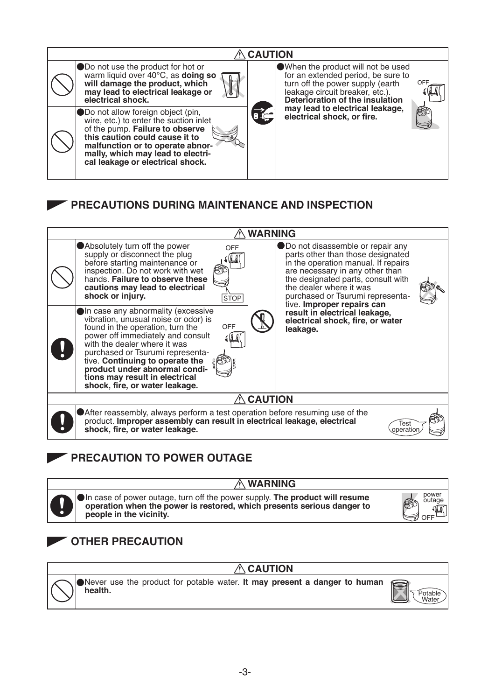

# **35 PRECAUTIONS DURING MAINTENANCE AND INSPECTION**



# **7 PRECAUTION TO POWER OUTAGE**



**WARNING**

In case of power outage, turn off the power supply. **The product will resume operation when the power is restored, which presents serious danger to people in the vicinity.** 



# $\blacktriangleright$  OTHER PRECAUTION



Never use the product for potable water. **It may present a danger to human health.** Potable

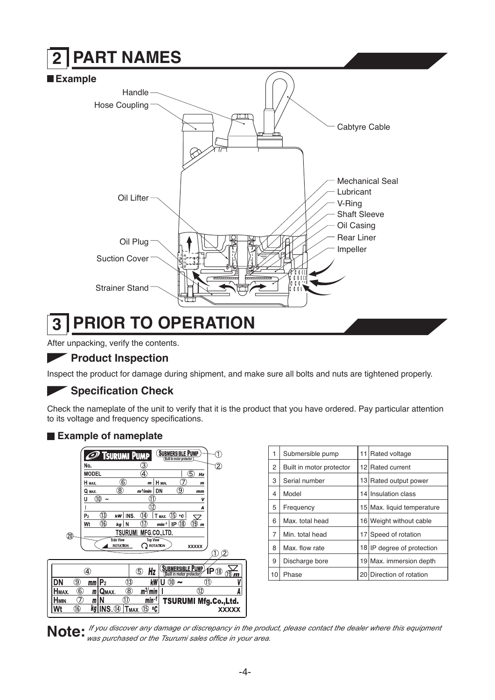

After unpacking, verify the contents.

## **3URGIVER Product Inspection**

Inspect the product for damage during shipment, and make sure all bolts and nuts are tightened properly.

## **5Shecification Check**

Check the nameplate of the unit to verify that it is the product that you have ordered. Pay particular attention to its voltage and frequency specifications.



| 1  | Submersible pump         | 11 Rated voltage           |
|----|--------------------------|----------------------------|
| 2  | Built in motor protector | 12 Rated current           |
| 3  | Serial number            | 13 Rated output power      |
| 4  | Model                    | 14 Insulation class        |
| 5  | Frequency                | 15 Max. liquid temperature |
| 6  | Max. total head          | 16 Weight without cable    |
| 7  | Min. total head          | 17 Speed of rotation       |
| 8  | Max. flow rate           | 18 IP degree of protection |
| 9  | Discharge bore           | 19 Max. immersion depth    |
| 10 | Phase                    | 20 Direction of rotation   |

Note *If you discover any damage or discrepancy in the product, please contact the dealer where this equipment* Note 1, was purchased or the Tsurumi sales office in your area.

#### **Example of nameplate**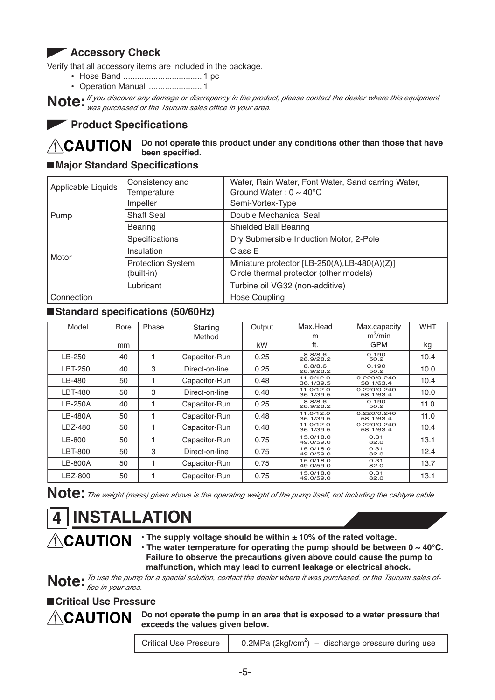## Accessory Check

Verify that all accessory items are included in the package.

- 
- 

Note *if you discover any damage or discrepancy in the product, please contact the dealer where this equipment* Note *i* was purchased or the Tsurumi sales office in your area.

## Product Specifications

#### Do not operate this product under any conditions other than those that have **ACAUTION** been specified.

### Major Standard Specifications

| Applicable Liquids | Consistency and<br>Temperature         | Water, Rain Water, Font Water, Sand carring Water,<br>Ground Water ; $0 \sim 40^{\circ}$ C |  |
|--------------------|----------------------------------------|--------------------------------------------------------------------------------------------|--|
|                    | Impeller                               | Semi-Vortex-Type                                                                           |  |
| Pump               | <b>Shaft Seal</b>                      | Double Mechanical Seal                                                                     |  |
|                    | <b>Bearing</b>                         | <b>Shielded Ball Bearing</b>                                                               |  |
|                    | Specifications                         | Dry Submersible Induction Motor, 2-Pole                                                    |  |
|                    | Insulation                             | Class E                                                                                    |  |
| Motor              | <b>Protection System</b><br>(built-in) | Miniature protector [LB-250(A), LB-480(A)(Z)]<br>Circle thermal protector (other models)   |  |
|                    | Lubricant                              | Turbine oil VG32 (non-additive)                                                            |  |
| Connection         |                                        | <b>Hose Coupling</b>                                                                       |  |

### Standard specifications (50/60Hz)

| Model   | <b>Bore</b> | Phase | Starting       | Output | Max.Head               | Max.capacity             | <b>WHT</b> |
|---------|-------------|-------|----------------|--------|------------------------|--------------------------|------------|
|         |             |       | Method         |        | m                      | $m^3/m$ in               |            |
|         | mm          |       |                | kW     | ft.                    | <b>GPM</b>               | kg         |
| LB-250  | 40          |       | Capacitor-Run  | 0.25   | 8.8/8.6<br>28.9/28.2   | 0.190<br>50.2            | 10.4       |
| LBT-250 | 40          | 3     | Direct-on-line | 0.25   | 8.8/8.6<br>28.9/28.2   | 0.190<br>50.2            | 10.0       |
| LB-480  | 50          |       | Capacitor-Run  | 0.48   | 11.0/12.0<br>36.1/39.5 | 0.220/0.240<br>58.1/63.4 | 10.4       |
| LBT-480 | 50          | 3     | Direct-on-line | 0.48   | 11.0/12.0<br>36.1/39.5 | 0.220/0.240<br>58.1/63.4 | 10.0       |
| LB-250A | 40          |       | Capacitor-Run  | 0.25   | 8.8/8.6<br>28.9/28.2   | 0.190<br>50.2            | 11.0       |
| LB-480A | 50          |       | Capacitor-Run  | 0.48   | 11.0/12.0<br>36.1/39.5 | 0.220/0.240<br>58.1/63.4 | 11.0       |
| LBZ-480 | 50          |       | Capacitor-Run  | 0.48   | 11.0/12.0<br>36.1/39.5 | 0.220/0.240<br>58.1/63.4 | 10.4       |
| LB-800  | 50          |       | Capacitor-Run  | 0.75   | 15.0/18.0<br>49.0/59.0 | 0.31<br>82.0             | 13.1       |
| LBT-800 | 50          | 3     | Direct-on-line | 0.75   | 15.0/18.0<br>49.0/59.0 | 0.31<br>82.0             | 12.4       |
| LB-800A | 50          |       | Capacitor-Run  | 0.75   | 15.0/18.0<br>49.0/59.0 | 0.31<br>82.0             | 13.7       |
| LBZ-800 | 50          |       | Capacitor-Run  | 0.75   | 15.0/18.0<br>49.0/59.0 | 0.31<br>82.0             | 13.1       |

Note: The weight (mass) given above is the operating weight of the pump itself, not including the cabtyre cable.

# **INSTALLATION**

**ACAUTION** 

· The supply voltage should be within ± 10% of the rated voltage.  $\cdot$  The water temperature for operating the pump should be between 0  $\sim$  40°C. Failure to observe the precautions given above could cause the pump to malfunction, which may lead to current leakage or electrical shock.

Note To use the pump for a special solution, contact the dealer where it was purchased, or the Tsurumi sales of-

### ■ Critical Use Pressure



Do not operate the pump in an area that is exposed to a water pressure that exceeds the values given below.

**Critical Use Pressure**  $0.2 MPa$  (2kgf/cm<sup>2</sup>) – discharge pressure during use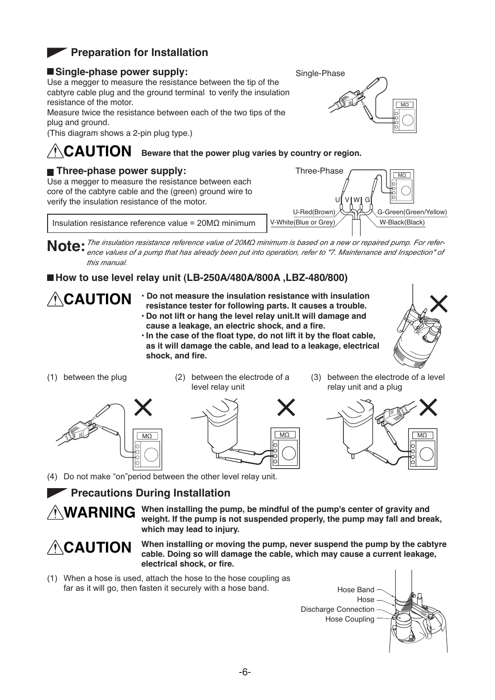# **Preparation for Installation**

#### Single-phase power supply:

Use a megger to measure the resistance between the tip of the cabtyre cable plug and the ground terminal to verify the insulation resistance of the motor.

Measure twice the resistance between each of the two tips of the plug and ground.

(This diagram shows a 2-pin plug type.)

# CAUTION Beware that the power plug varies by country or region.

#### Three-phase power supply:

Use a megger to measure the resistance between each core of the cabtyre cable and the (green) ground wire to verify the insulation resistance of the motor.

Insulation resistance reference value =  $20M\Omega$  minimum





Note. The insulation resistance reference value of 20MQ minimum is based on a new or repaired pump. For reference values of a pump that has already been put into operation, refer to "7. Maintenance and Inspection" of this manual

### ■ How to use level relay unit (LB-250A/480A/800A .LBZ-480/800)



- Do not measure the insulation resistance with insulation resistance tester for following parts. It causes a trouble. . Do not lift or hang the level relay unit. It will damage and
- cause a leakage, an electric shock, and a fire.
- . In the case of the float type, do not lift it by the float cable. as it will damage the cable, and lead to a leakage, electrical shock, and fire.



(1) between the plug



(2) between the electrode of a level relay unit

(3) between the electrode of a level relay unit and a plug





(4) Do not make "on"period between the other level relay unit.

# **Precautions During Installation**

When installing the pump, be mindful of the pump's center of gravity and **WARNING** weight. If the pump is not suspended properly, the pump may fall and break, which may lead to injury.

**ACAUTION** 

When installing or moving the pump, never suspend the pump by the cabtyre cable. Doing so will damage the cable, which may cause a current leakage, electrical shock, or fire.

(1) When a hose is used, attach the hose to the hose coupling as far as it will go, then fasten it securely with a hose band.

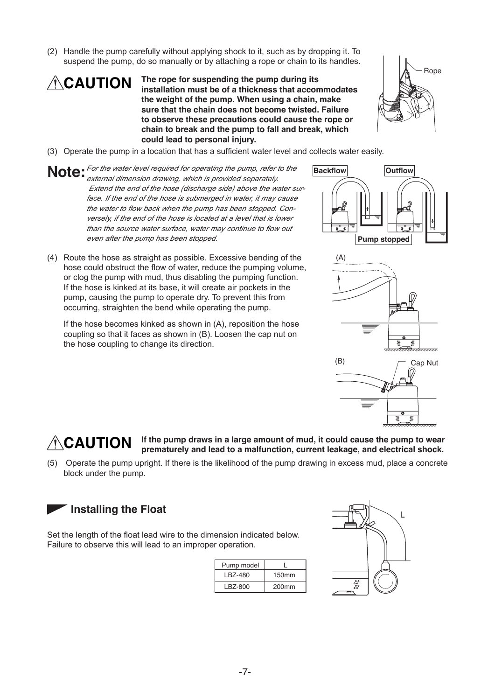(2) Handle the pump carefully without applying shock to it, such as by dropping it. To suspend the pump, do so manually or by attaching a rope or chain to its handles.

The rope for suspending the pump during its **ACAUTION** installation must be of a thickness that accommodates the weight of the pump. When using a chain, make sure that the chain does not become twisted. Failure to observe these precautions could cause the rope or chain to break and the pump to fall and break, which could lead to personal injury.



- (3) Operate the pump in a location that has a sufficient water level and collects water easily.
- Note: For the water level required for operating the pump, refer to the external dimension drawing, which is provided separately. Extend the end of the hose (discharge side) above the water surface. If the end of the hose is submerged in water, it may cause the water to flow back when the pump has been stopped. Conversely, if the end of the hose is located at a level that is lower than the source water surface, water may continue to flow out even after the pump has been stopped.
- (4) Route the hose as straight as possible. Excessive bending of the hose could obstruct the flow of water, reduce the pumping volume, or clog the pump with mud, thus disabling the pumping function. If the hose is kinked at its base, it will create air pockets in the pump, causing the pump to operate dry. To prevent this from occurring, straighten the bend while operating the pump.

If the hose becomes kinked as shown in (A), reposition the hose coupling so that it faces as shown in (B). Loosen the cap nut on the hose coupling to change its direction.





#### If the pump draws in a large amount of mud, it could cause the pump to wear **ACAUTION** prematurely and lead to a malfunction, current leakage, and electrical shock.

(5) Operate the pump upright. If there is the likelihood of the pump drawing in excess mud, place a concrete block under the pump.

### **Installing the Float**

Set the length of the float lead wire to the dimension indicated below. Failure to observe this will lead to an improper operation.

| Pump model |                   |
|------------|-------------------|
| IB7-480    | 150 <sub>mm</sub> |
| LBZ-800    | 200 <sub>mm</sub> |

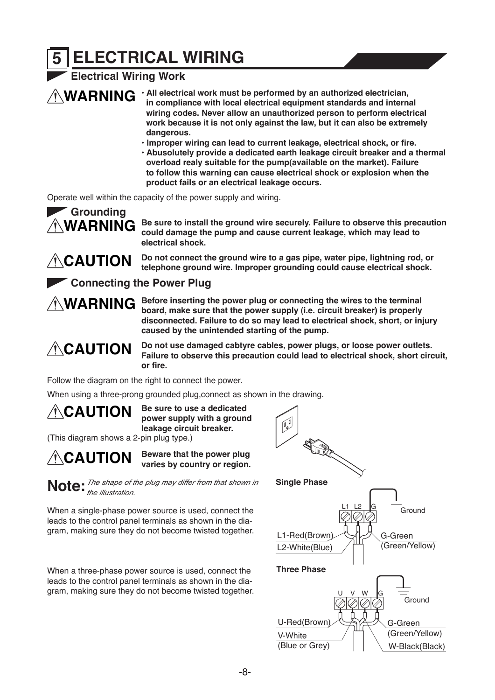# **ELECTRICAL WIRING**

### **Electrical Wiring Work**

 $\triangle WARMING$   $\cdot$  All electrical work must be performed by an authorized electrician, in compliance with local electrical equipment standards and internal wiring codes. Never allow an unauthorized person to perform electrical work because it is not only against the law, but it can also be extremely dangerous.

- . Improper wiring can lead to current leakage, electrical shock, or fire.
- . Abusolutely provide a dedicated earth leakage circuit breaker and a thermal overload realy suitable for the pump(available on the market). Failure to follow this warning can cause electrical shock or explosion when the product fails or an electrical leakage occurs.

Operate well within the capacity of the power supply and wiring.

# Grounding **AWARNING**

**ACAUTION** 

Be sure to install the ground wire securely. Failure to observe this precaution could damage the pump and cause current leakage, which may lead to electrical shock.

Do not connect the ground wire to a gas pipe, water pipe, lightning rod, or telephone ground wire. Improper grounding could cause electrical shock.

Connecting the Power Plug

**AWARNING** 

Before inserting the power plug or connecting the wires to the terminal board, make sure that the power supply (i.e. circuit breaker) is properly disconnected. Failure to do so may lead to electrical shock, short, or injury caused by the unintended starting of the pump.

# **ACAUTION**

Do not use damaged cabtyre cables, power plugs, or loose power outlets. Failure to observe this precaution could lead to electrical shock, short circuit, or fire.

Follow the diagram on the right to connect the power.

When using a three-prong grounded plug.connect as shown in the drawing.

**CAUTION** 

Be sure to use a dedicated power supply with a ground leakage circuit breaker.

(This diagram shows a 2-pin plug type.)

**ACAUTION** 

Beware that the power plug varies by country or region.

Note. The shape of the plug may differ from that shown in<br>Note. the illustration.

When a single-phase power source is used, connect the leads to the control panel terminals as shown in the diagram, making sure they do not become twisted together.

When a three-phase power source is used, connect the leads to the control panel terminals as shown in the diagram, making sure they do not become twisted together.

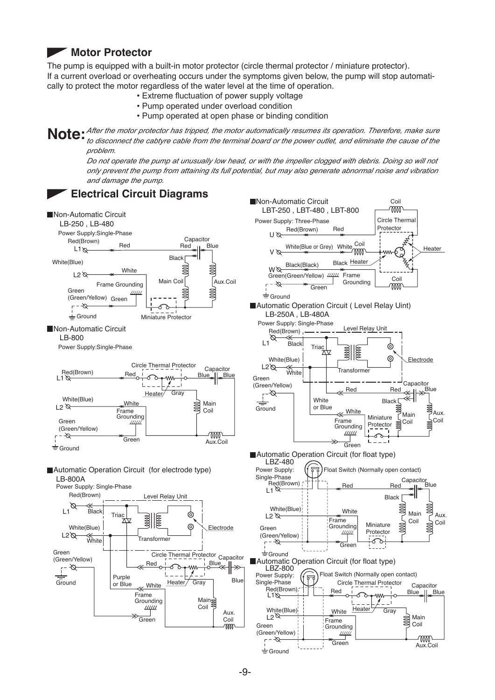### **Motor Protector**

The pump is equipped with a built-in motor protector (circle thermal protector / miniature protector). If a current overload or overheating occurs under the symptoms given below, the pump will stop automatically to protect the motor regardless of the water level at the time of operation.

- Extreme fluctuation of power supply voltage
- Pump operated under overload condition
- Pump operated at open phase or binding condition

 $\bf{Note}$  *After the motor protector has tripped, the motor automatically resumes its operation. Therefore, make sure<br>* $\bf{Note}$  *<i>to disconnect the cabtyre cable from the terminal board or the power outlet, and eliminate the* to disconnect the cabtyre cable from the terminal board or the power outlet, and eliminate the cause of the problem.

Do not operate the pump at unusually low head, or with the impeller clogged with debris. Doing so will not only prevent the pump from attaining its full potential, but may also generate abnormal noise and vibration and damage the pump.

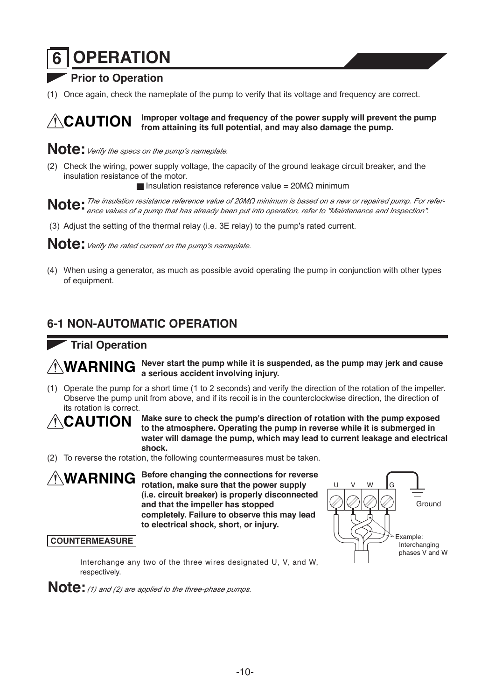# **OPERATION**

# Prior to Operation

(1) Once again, check the nameplate of the pump to verify that its voltage and frequency are correct.

Improper voltage and frequency of the power supply will prevent the pump **ACAUTION** from attaining its full potential, and may also damage the pump.

# Note: Verify the specs on the pump's nameplate.

(2) Check the wiring, power supply voltage, the capacity of the ground leakage circuit breaker, and the insulation resistance of the motor.

Insulation resistance reference value =  $20M\Omega$  minimum

Note • The insulation resistance reference value of 20ΜΩ minimum is based on a new or repaired pump. For refer-<br>Note • ence values of a pump that has already been put into operation, refer to "Maintenance and Inspection".

(3) Adjust the setting of the thermal relay (i.e. 3E relay) to the pump's rated current.

Note: Verify the rated current on the pump's nameplate.

(4) When using a generator, as much as possible avoid operating the pump in conjunction with other types of equipment.

# **6-1 NON-AUTOMATIC OPERATION**

### **Trial Operation**

 $\bigwedge_{i=1}^n WARMING$  Never start the pump while it is suspended, as the pump may jerk and cause a serious accident involving injury.

(1) Operate the pump for a short time (1 to 2 seconds) and verify the direction of the rotation of the impeller. Observe the pump unit from above, and if its recoil is in the counterclockwise direction, the direction of its rotation is correct.

**CAUTION** 

Make sure to check the pump's direction of rotation with the pump exposed to the atmosphere. Operating the pump in reverse while it is submerged in water will damage the pump, which may lead to current leakage and electrical shock.

(2) To reverse the rotation, the following countermeasures must be taken.

 $\triangle$  WARNING Before changing the connections for reverse rotation, make sure that the power supply (i.e. circuit breaker) is properly disconnected and that the impeller has stopped completely. Failure to observe this may lead to electrical shock, short, or injury.



#### **COUNTERMEASURE**

Interchange any two of the three wires designated U, V, and W, respectively.

Note: (1) and (2) are applied to the three-phase pumps.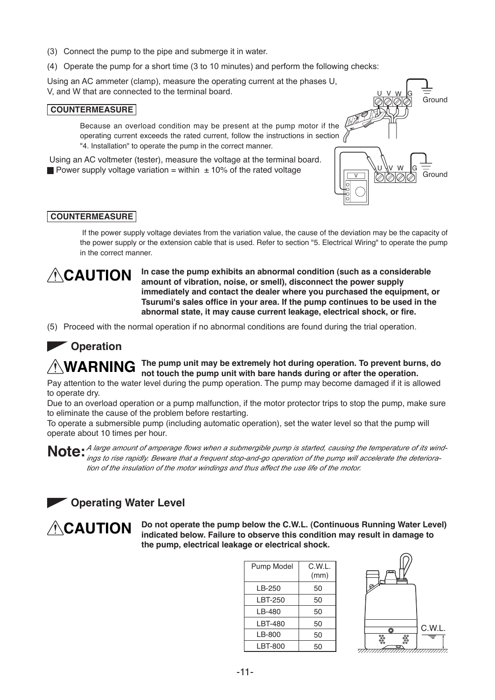- (3) Connect the pump to the pipe and submerge it in water.
- (4) Operate the pump for a short time (3 to 10 minutes) and perform the following checks:

Using an AC ammeter (clamp), measure the operating current at the phases U. V, and W that are connected to the terminal board.

#### **COUNTERMEASURE**

Because an overload condition may be present at the pump motor if the operating current exceeds the rated current, follow the instructions in section  $\sqrt{\frac{m}{n}}$ <br>"4. Installation" to operate the numb in the correct in the "4. Installation" to operate the pump in the correct manner.

Using an AC voltmeter (tester), measure the voltage at the terminal board. Power supply voltage variation = within  $\pm$  10% of the rated voltage



#### **COUNTERMEASURE**

If the power supply voltage deviates from the variation value, the cause of the deviation may be the capacity of the power supply or the extension cable that is used. Refer to section "5. Electrical Wiring" to operate the pump in the correct manner.



In case the pump exhibits an abnormal condition (such as a considerable amount of vibration, noise, or smell), disconnect the power supply immediately and contact the dealer where you purchased the equipment, or Tsurumi's sales office in your area. If the pump continues to be used in the abnormal state, it may cause current leakage, electrical shock, or fire.

(5) Proceed with the normal operation if no abnormal conditions are found during the trial operation.

### Operation

The pump unit may be extremely hot during operation. To prevent burns, do **AWARNING** not touch the pump unit with bare hands during or after the operation.

Pay attention to the water level during the pump operation. The pump may become damaged if it is allowed to operate dry.

Due to an overload operation or a pump malfunction, if the motor protector trips to stop the pump, make sure to eliminate the cause of the problem before restarting.

To operate a submersible pump (including automatic operation), set the water level so that the pump will operate about 10 times per hour.

Note.<sup>A</sup> large amount of amperage flows when a submergible pump is started, causing the temperature of its wind-<br>Note.<sup>\*</sup> ings to rise rapidly. Beware that a frequent stop-and-go operation of the pump will accelerate the d tion of the insulation of the motor windings and thus affect the use life of the motor.

## **Operating Water Level**

Do not operate the pump below the C.W.L. (Continuous Running Water Level) **ACAUTION** indicated below. Failure to observe this condition may result in damage to the pump, electrical leakage or electrical shock.



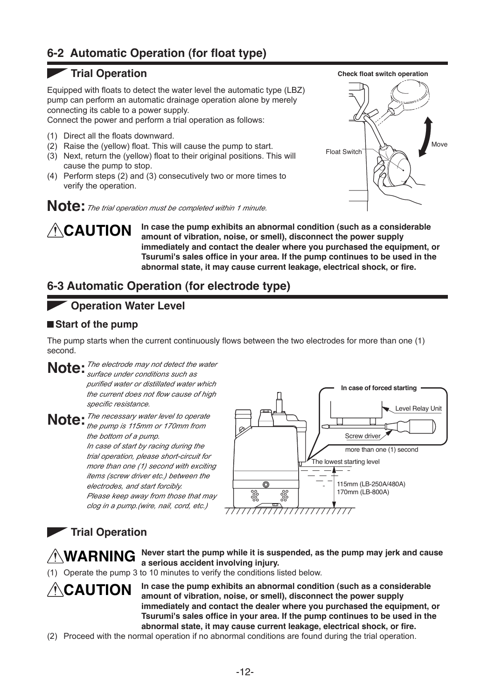# 6-2 Automatic Operation (for float type)

## **Trial Operation**

Equipped with floats to detect the water level the automatic type (LBZ) pump can perform an automatic drainage operation alone by merely connecting its cable to a power supply.

Connect the power and perform a trial operation as follows:

- (1) Direct all the floats downward.
- (2) Raise the (yellow) float. This will cause the pump to start.
- (3) Next, return the (yellow) float to their original positions. This will cause the pump to stop.
- (4) Perform steps (2) and (3) consecutively two or more times to verify the operation.

Note: The trial operation must be completed within 1 minute.

In case the pump exhibits an abnormal condition (such as a considerable **ACAUTION** amount of vibration, noise, or smell), disconnect the power supply immediately and contact the dealer where you purchased the equipment, or Tsurumi's sales office in your area. If the pump continues to be used in the abnormal state, it may cause current leakage, electrical shock, or fire.

# 6-3 Automatic Operation (for electrode type)

# **Operation Water Level**

### ■ Start of the pump

The pump starts when the current continuously flows between the two electrodes for more than one (1) second.

Note: The electrode may not detect the water surface under conditions such as purified water or distillated water which the current does not flow cause of high specific resistance.

Note The necessary water level to operate<br>the pump is 115mm or 170mm from the bottom of a pump. In case of start by racing during the trial operation, please short-circuit for more than one (1) second with exciting items (screw driver etc.) between the electrodes, and start forcibly.

Please keep away from those that may clog in a pump. (wire, nail, cord, etc.)



# Trial Operation

**ACAUTION** 

Never start the pump while it is suspended, as the pump may jerk and cause **AWARNING** a serious accident involving injury.

(1) Operate the pump 3 to 10 minutes to verify the conditions listed below.

In case the pump exhibits an abnormal condition (such as a considerable amount of vibration, noise, or smell), disconnect the power supply immediately and contact the dealer where you purchased the equipment, or Tsurumi's sales office in your area. If the pump continues to be used in the abnormal state, it may cause current leakage, electrical shock, or fire.

(2) Proceed with the normal operation if no abnormal conditions are found during the trial operation.

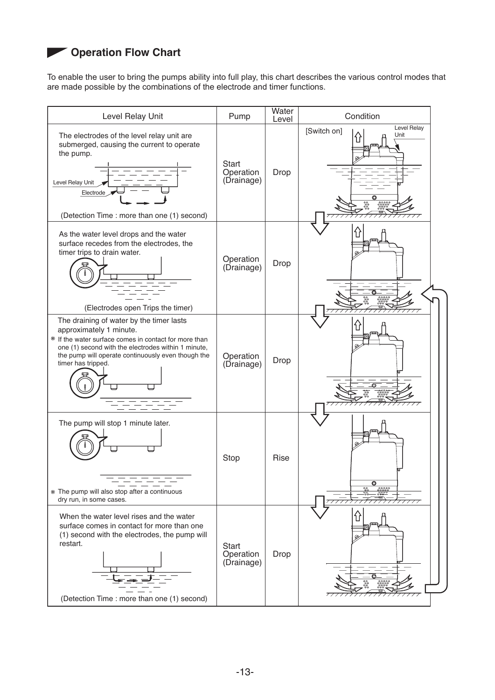## **2DEDETE** Operation Flow Chart

To enable the user to bring the pumps ability into full play, this chart describes the various control modes that are made possible by the combinations of the electrode and timer functions.

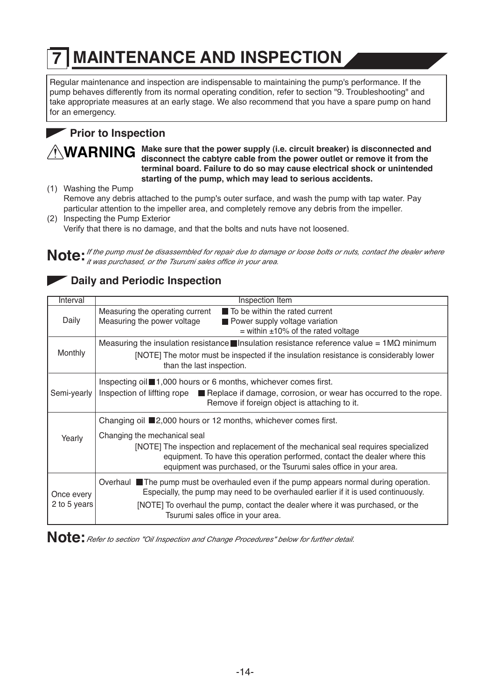# **MAINTENANCE AND INSPECTION**

Regular maintenance and inspection are indispensable to maintaining the pump's performance. If the pump behaves differently from its normal operating condition, refer to section "9. Troubleshooting" and take appropriate measures at an early stage. We also recommend that you have a spare pump on hand for an emergency.

## Prior to Inspection

 $\triangle$  WARNING Make sure that the power supply (i.e. circuit breaker) is disconnected and disconnect the cabtyre cable from the power outlet or remove it from the terminal board. Failure to do so may cause electrical shock or unintended starting of the pump, which may lead to serious accidents.

- (1) Washing the Pump Remove any debris attached to the pump's outer surface, and wash the pump with tap water. Pay particular attention to the impeller area, and completely remove any debris from the impeller.
- (2) Inspecting the Pump Exterior Verify that there is no damage, and that the bolts and nuts have not loosened.

Note. If the pump must be disassembled for repair due to damage or loose bolts or nuts, contact the dealer where  $\mathsf{Note:}$ 

# Daily and Periodic Inspection

| Interval                   | Inspection Item                                                                                                                                                                                                                                                                                                                         |  |  |  |
|----------------------------|-----------------------------------------------------------------------------------------------------------------------------------------------------------------------------------------------------------------------------------------------------------------------------------------------------------------------------------------|--|--|--|
| Daily                      | ■ To be within the rated current<br>Measuring the operating current<br>Measuring the power voltage<br>Power supply voltage variation<br>$=$ within $\pm 10\%$ of the rated voltage                                                                                                                                                      |  |  |  |
| <b>Monthly</b>             | Measuring the insulation resistance Insulation resistance reference value = $1\text{M}\Omega$ minimum<br>[NOTE] The motor must be inspected if the insulation resistance is considerably lower<br>than the last inspection.                                                                                                             |  |  |  |
| Semi-yearly                | Inspecting oil 1,000 hours or 6 months, whichever comes first.<br>Inspection of liffting rope <b>E</b> Replace if damage, corrosion, or wear has occurred to the rope.<br>Remove if foreign object is attaching to it.                                                                                                                  |  |  |  |
| Yearly                     | Changing oil ■2,000 hours or 12 months, whichever comes first.<br>Changing the mechanical seal<br>[NOTE] The inspection and replacement of the mechanical seal requires specialized<br>equipment. To have this operation performed, contact the dealer where this<br>equipment was purchased, or the Tsurumi sales office in your area. |  |  |  |
| Once every<br>2 to 5 years | Overhaul $\blacksquare$ The pump must be overhauled even if the pump appears normal during operation.<br>Especially, the pump may need to be overhauled earlier if it is used continuously.<br>[NOTE] To overhaul the pump, contact the dealer where it was purchased, or the<br>Tsurumi sales office in your area.                     |  |  |  |

Note: Refer to section "Oil Inspection and Change Procedures" below for further detail.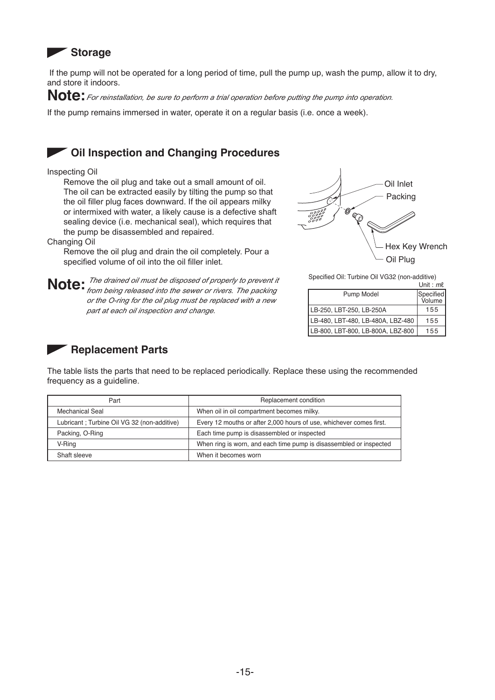# Storage

If the pump will not be operated for a long period of time, pull the pump up, wash the pump, allow it to dry, and store it indoors.

Note: For reinstallation, be sure to perform a trial operation before putting the pump into operation.

If the pump remains immersed in water, operate it on a regular basis (i.e. once a week).

# Oil Inspection and Changing Procedures

#### Inspecting Oil

Remove the oil plug and take out a small amount of oil. The oil can be extracted easily by tilting the pump so that the oil filler plug faces downward. If the oil appears milky or intermixed with water, a likely cause is a defective shaft sealing device (i.e. mechanical seal), which requires that the pump be disassembled and repaired.

#### Changing Oil

Remove the oil plug and drain the oil completely. Pour a specified volume of oil into the oil filler inlet.

Note The drained oil must be disposed of properly to prevent it Note from being released into the sewer or rivers. The packing or the O-ring for the oil plug must be replaced with a new part at each oil inspection and change.



Specified Oil: Turbine Oil VG32 (non-additive)

|                                   | Unit: <i>mv</i> .   |
|-----------------------------------|---------------------|
| Pump Model                        | Specified<br>Volume |
| LB-250, LBT-250, LB-250A          | 155                 |
| LB-480, LBT-480, LB-480A, LBZ-480 | 155                 |
| LB-800, LBT-800, LB-800A, LBZ-800 | 155                 |

### **Replacement Parts**

The table lists the parts that need to be replaced periodically. Replace these using the recommended frequency as a guideline.

| Part                                        | Replacement condition                                               |
|---------------------------------------------|---------------------------------------------------------------------|
| Mechanical Seal                             | When oil in oil compartment becomes milky.                          |
| Lubricant; Turbine Oil VG 32 (non-additive) | Every 12 mouths or after 2,000 hours of use, whichever comes first. |
| Packing, O-Ring                             | Each time pump is disassembled or inspected                         |
| V-Rina                                      | When ring is worn, and each time pump is disassembled or inspected  |
| Shaft sleeve                                | When it becomes worn                                                |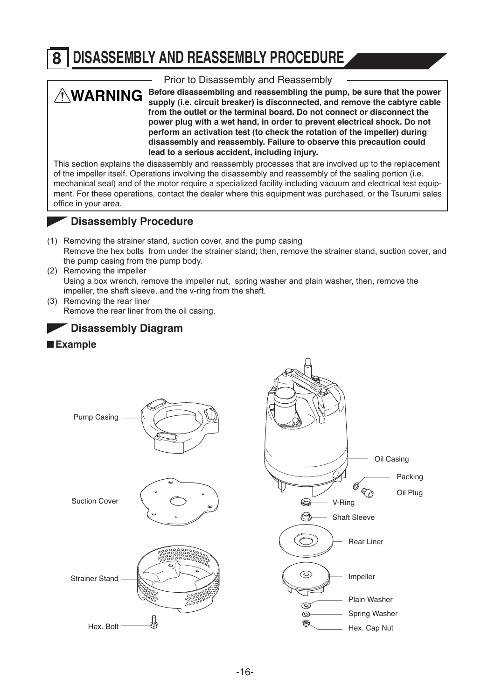#### DISASSEMBLY AND REASSEMBLY PROCEDURE 8



Before disassembling and reassembling the pump, be sure that the power supply (i.e. circuit breaker) is disconnected, and remove the cabtyre cable from the outlet or the terminal board. Do not connect or disconnect the power plug with a wet hand, in order to prevent electrical shock. Do not perform an activation test (to check the rotation of the impeller) during disassembly and reassembly. Failure to observe this precaution could lead to a serious accident, including injury.

This section explains the disassembly and reassembly processes that are involved up to the replacement of the impeller itself. Operations involving the disassembly and reassembly of the sealing portion (i.e. mechanical seal) and of the motor require a specialized facility including vacuum and electrical test equipment. For these operations, contact the dealer where this equipment was purchased, or the Tsurumi sales office in your area.

# **Disassembly Procedure**

**AWARNING** 

- (1) Removing the strainer stand, suction cover, and the pump casing Remove the hex bolts from under the strainer stand: then, remove the strainer stand, suction cover, and the pump casing from the pump body.
- (2) Removing the impeller Using a box wrench, remove the impeller nut, spring washer and plain washer, then, remove the impeller, the shaft sleeve, and the v-ring from the shaft.
- (3) Removing the rear liner Remove the rear liner from the oil casing.



### **Example**

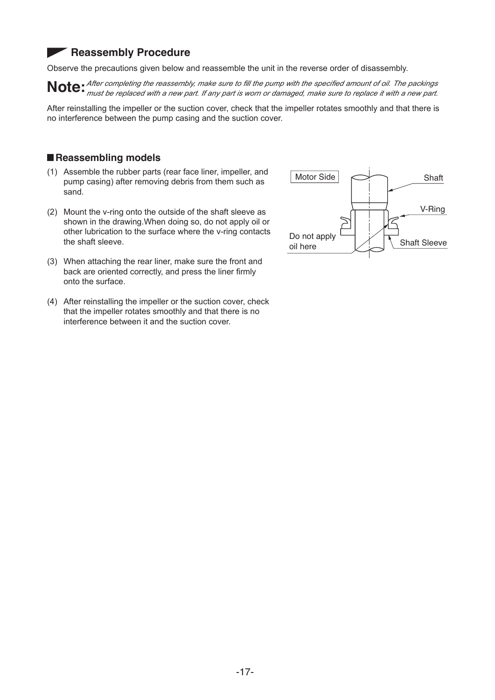## Reassembly Procedure

Observe the precautions given below and reassemble the unit in the reverse order of disassembly.

Note • After completing the reassembly, make sure to fill the pump with the specified amount of oil. The packings Note • must be replaced with a new part. If any part is worn or damaged, make sure to replace it with a new

After reinstalling the impeller or the suction cover, check that the impeller rotates smoothly and that there is no interference between the pump casing and the suction cover.

#### Reassembling models

- (1) Assemble the rubber parts (rear face liner, impeller, and pump casing) after removing debris from them such as sand.
- (2) Mount the v-ring onto the outside of the shaft sleeve as shown in the drawing. When doing so, do not apply oil or other lubrication to the surface where the v-ring contacts the shaft sleeve.
- (3) When attaching the rear liner, make sure the front and back are oriented correctly, and press the liner firmly onto the surface.
- (4) After reinstalling the impeller or the suction cover, check that the impeller rotates smoothly and that there is no interference between it and the suction cover.